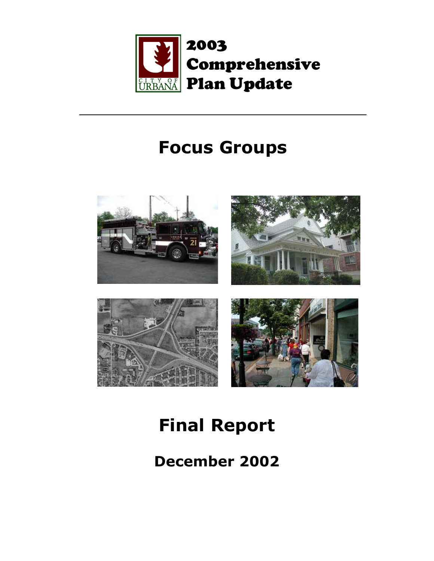

# **Focus Groups**



# **Final Report**

**December 2002**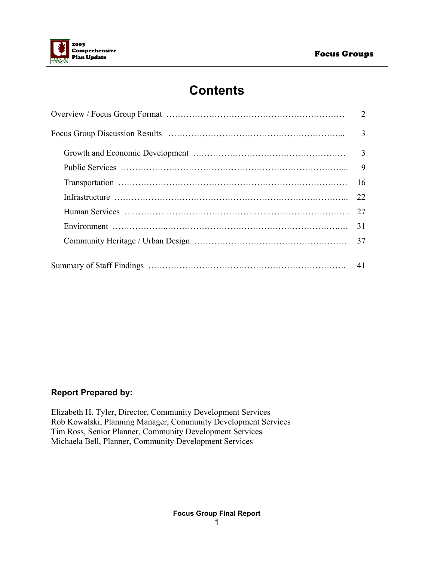

# **Contents**

| 3  |
|----|
|    |
| 9  |
| 16 |
| 22 |
| 27 |
| 31 |
| 37 |
|    |
| 41 |

#### **Report Prepared by:**

Elizabeth H. Tyler, Director, Community Development Services Rob Kowalski, Planning Manager, Community Development Services Tim Ross, Senior Planner, Community Development Services Michaela Bell, Planner, Community Development Services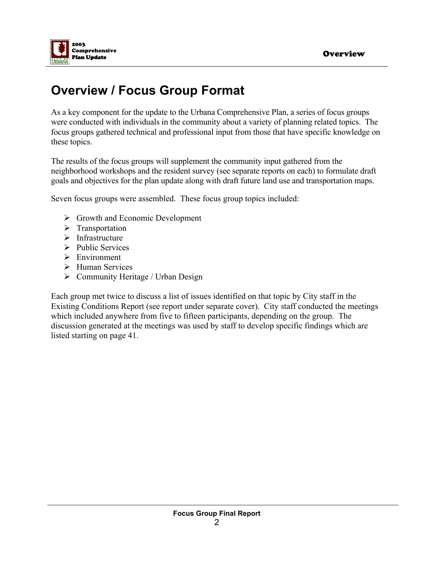

# **Overview / Focus Group Format**

As a key component for the update to the Urbana Comprehensive Plan, a series of focus groups were conducted with individuals in the community about a variety of planning related topics. The focus groups gathered technical and professional input from those that have specific knowledge on these topics.

The results of the focus groups will supplement the community input gathered from the neighborhood workshops and the resident survey (see separate reports on each) to formulate draft goals and objectives for the plan update along with draft future land use and transportation maps.

Seven focus groups were assembled. These focus group topics included:

- $\triangleright$  Growth and Economic Development
- $\triangleright$  Transportation
- $\triangleright$  Infrastructure
- $\triangleright$  Public Services
- $\triangleright$  Environment
- $\triangleright$  Human Services
- $\triangleright$  Community Heritage / Urban Design

Each group met twice to discuss a list of issues identified on that topic by City staff in the Existing Conditions Report (see report under separate cover). City staff conducted the meetings which included anywhere from five to fifteen participants, depending on the group. The discussion generated at the meetings was used by staff to develop specific findings which are listed starting on page 41.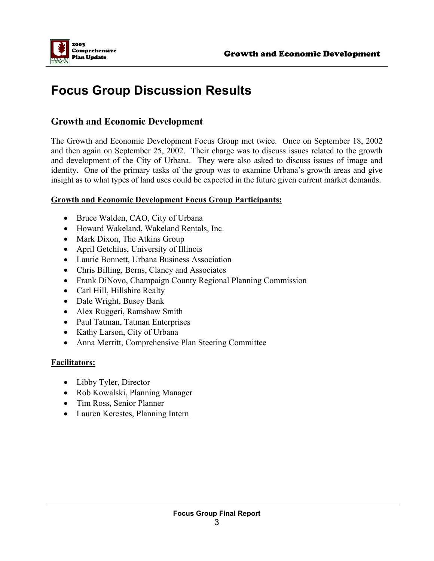

# **Focus Group Discussion Results**

## **Growth and Economic Development**

The Growth and Economic Development Focus Group met twice. Once on September 18, 2002 and then again on September 25, 2002. Their charge was to discuss issues related to the growth and development of the City of Urbana. They were also asked to discuss issues of image and identity. One of the primary tasks of the group was to examine Urbana's growth areas and give insight as to what types of land uses could be expected in the future given current market demands.

#### **Growth and Economic Development Focus Group Participants:**

- Bruce Walden, CAO, City of Urbana
- Howard Wakeland, Wakeland Rentals, Inc.
- Mark Dixon, The Atkins Group
- April Getchius, University of Illinois
- Laurie Bonnett, Urbana Business Association
- Chris Billing, Berns, Clancy and Associates
- Frank DiNovo, Champaign County Regional Planning Commission
- Carl Hill, Hillshire Realty
- Dale Wright, Busey Bank
- Alex Ruggeri, Ramshaw Smith
- Paul Tatman, Tatman Enterprises
- Kathy Larson, City of Urbana
- Anna Merritt, Comprehensive Plan Steering Committee

#### **Facilitators:**

- Libby Tyler, Director
- Rob Kowalski, Planning Manager
- Tim Ross, Senior Planner
- Lauren Kerestes, Planning Intern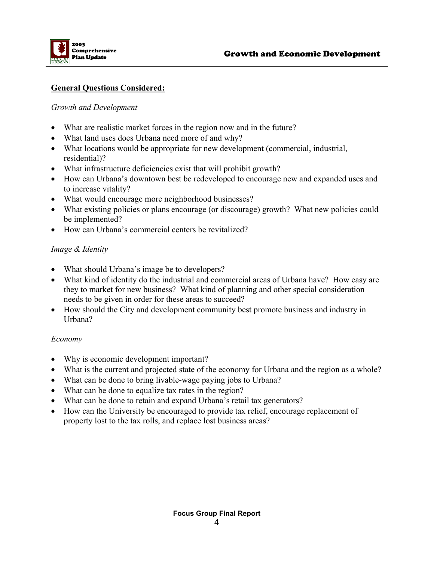

#### **General Questions Considered:**

#### *Growth and Development*

- What are realistic market forces in the region now and in the future?
- What land uses does Urbana need more of and why?
- What locations would be appropriate for new development (commercial, industrial, residential)?
- What infrastructure deficiencies exist that will prohibit growth?
- How can Urbana's downtown best be redeveloped to encourage new and expanded uses and to increase vitality?
- What would encourage more neighborhood businesses?
- What existing policies or plans encourage (or discourage) growth? What new policies could be implemented?
- How can Urbana's commercial centers be revitalized?

#### *Image & Identity*

- What should Urbana's image be to developers?
- What kind of identity do the industrial and commercial areas of Urbana have? How easy are they to market for new business? What kind of planning and other special consideration needs to be given in order for these areas to succeed?
- How should the City and development community best promote business and industry in Urbana?

#### *Economy*

- Why is economic development important?
- What is the current and projected state of the economy for Urbana and the region as a whole?
- What can be done to bring livable-wage paying jobs to Urbana?
- What can be done to equalize tax rates in the region?
- What can be done to retain and expand Urbana's retail tax generators?
- How can the University be encouraged to provide tax relief, encourage replacement of property lost to the tax rolls, and replace lost business areas?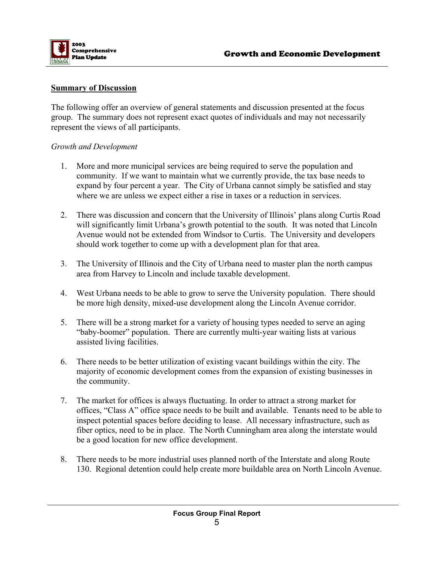

#### **Summary of Discussion**

The following offer an overview of general statements and discussion presented at the focus group. The summary does not represent exact quotes of individuals and may not necessarily represent the views of all participants.

#### *Growth and Development*

- 1. More and more municipal services are being required to serve the population and community. If we want to maintain what we currently provide, the tax base needs to expand by four percent a year. The City of Urbana cannot simply be satisfied and stay where we are unless we expect either a rise in taxes or a reduction in services.
- 2. There was discussion and concern that the University of Illinois' plans along Curtis Road will significantly limit Urbana's growth potential to the south. It was noted that Lincoln Avenue would not be extended from Windsor to Curtis. The University and developers should work together to come up with a development plan for that area.
- 3. The University of Illinois and the City of Urbana need to master plan the north campus area from Harvey to Lincoln and include taxable development.
- 4. West Urbana needs to be able to grow to serve the University population. There should be more high density, mixed-use development along the Lincoln Avenue corridor.
- 5. There will be a strong market for a variety of housing types needed to serve an aging "baby-boomer" population. There are currently multi-year waiting lists at various assisted living facilities.
- 6. There needs to be better utilization of existing vacant buildings within the city. The majority of economic development comes from the expansion of existing businesses in the community.
- 7. The market for offices is always fluctuating. In order to attract a strong market for offices, "Class A" office space needs to be built and available. Tenants need to be able to inspect potential spaces before deciding to lease. All necessary infrastructure, such as fiber optics, need to be in place. The North Cunningham area along the interstate would be a good location for new office development.
- 8. There needs to be more industrial uses planned north of the Interstate and along Route 130. Regional detention could help create more buildable area on North Lincoln Avenue.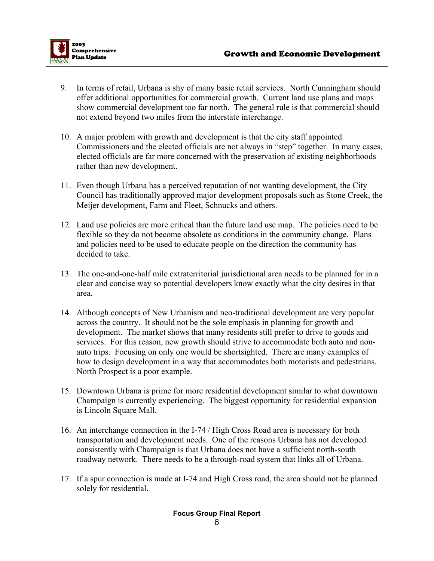

- 9. In terms of retail, Urbana is shy of many basic retail services. North Cunningham should offer additional opportunities for commercial growth. Current land use plans and maps show commercial development too far north. The general rule is that commercial should not extend beyond two miles from the interstate interchange.
- 10. A major problem with growth and development is that the city staff appointed Commissioners and the elected officials are not always in "step" together. In many cases, elected officials are far more concerned with the preservation of existing neighborhoods rather than new development.
- 11. Even though Urbana has a perceived reputation of not wanting development, the City Council has traditionally approved major development proposals such as Stone Creek, the Meijer development, Farm and Fleet, Schnucks and others.
- 12. Land use policies are more critical than the future land use map. The policies need to be flexible so they do not become obsolete as conditions in the community change. Plans and policies need to be used to educate people on the direction the community has decided to take.
- 13. The one-and-one-half mile extraterritorial jurisdictional area needs to be planned for in a clear and concise way so potential developers know exactly what the city desires in that area.
- 14. Although concepts of New Urbanism and neo-traditional development are very popular across the country. It should not be the sole emphasis in planning for growth and development. The market shows that many residents still prefer to drive to goods and services. For this reason, new growth should strive to accommodate both auto and nonauto trips. Focusing on only one would be shortsighted. There are many examples of how to design development in a way that accommodates both motorists and pedestrians. North Prospect is a poor example.
- 15. Downtown Urbana is prime for more residential development similar to what downtown Champaign is currently experiencing. The biggest opportunity for residential expansion is Lincoln Square Mall.
- 16. An interchange connection in the I-74 / High Cross Road area is necessary for both transportation and development needs. One of the reasons Urbana has not developed consistently with Champaign is that Urbana does not have a sufficient north-south roadway network. There needs to be a through-road system that links all of Urbana.
- 17. If a spur connection is made at I-74 and High Cross road, the area should not be planned solely for residential.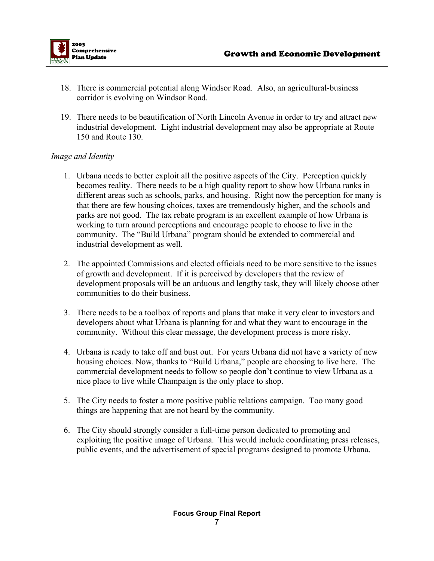

- 18. There is commercial potential along Windsor Road. Also, an agricultural-business corridor is evolving on Windsor Road.
- 19. There needs to be beautification of North Lincoln Avenue in order to try and attract new industrial development. Light industrial development may also be appropriate at Route 150 and Route 130.

#### *Image and Identity*

- 1. Urbana needs to better exploit all the positive aspects of the City. Perception quickly becomes reality. There needs to be a high quality report to show how Urbana ranks in different areas such as schools, parks, and housing. Right now the perception for many is that there are few housing choices, taxes are tremendously higher, and the schools and parks are not good. The tax rebate program is an excellent example of how Urbana is working to turn around perceptions and encourage people to choose to live in the community. The "Build Urbana" program should be extended to commercial and industrial development as well.
- 2. The appointed Commissions and elected officials need to be more sensitive to the issues of growth and development. If it is perceived by developers that the review of development proposals will be an arduous and lengthy task, they will likely choose other communities to do their business.
- 3. There needs to be a toolbox of reports and plans that make it very clear to investors and developers about what Urbana is planning for and what they want to encourage in the community. Without this clear message, the development process is more risky.
- 4. Urbana is ready to take off and bust out. For years Urbana did not have a variety of new housing choices. Now, thanks to "Build Urbana," people are choosing to live here. The commercial development needs to follow so people don't continue to view Urbana as a nice place to live while Champaign is the only place to shop.
- 5. The City needs to foster a more positive public relations campaign. Too many good things are happening that are not heard by the community.
- 6. The City should strongly consider a full-time person dedicated to promoting and exploiting the positive image of Urbana. This would include coordinating press releases, public events, and the advertisement of special programs designed to promote Urbana.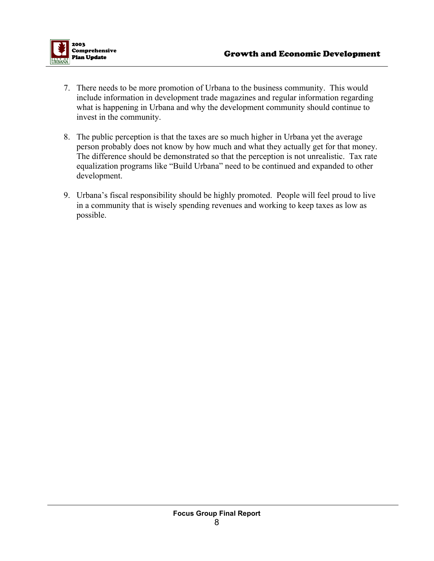- 7. There needs to be more promotion of Urbana to the business community. This would include information in development trade magazines and regular information regarding what is happening in Urbana and why the development community should continue to invest in the community.
- 8. The public perception is that the taxes are so much higher in Urbana yet the average person probably does not know by how much and what they actually get for that money. The difference should be demonstrated so that the perception is not unrealistic. Tax rate equalization programs like "Build Urbana" need to be continued and expanded to other development.
- 9. Urbana's fiscal responsibility should be highly promoted. People will feel proud to live in a community that is wisely spending revenues and working to keep taxes as low as possible.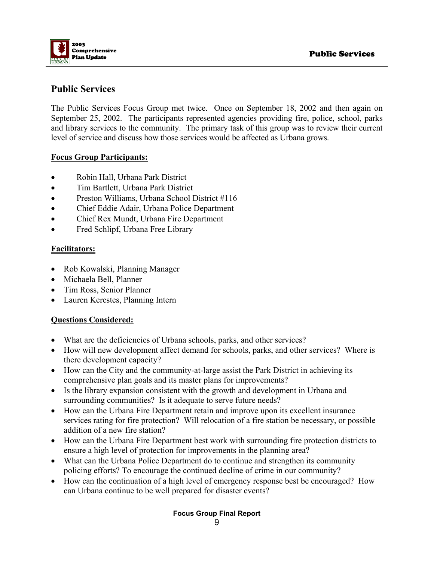

# **Public Services**

The Public Services Focus Group met twice. Once on September 18, 2002 and then again on September 25, 2002. The participants represented agencies providing fire, police, school, parks and library services to the community. The primary task of this group was to review their current level of service and discuss how those services would be affected as Urbana grows.

#### **Focus Group Participants:**

- Robin Hall, Urbana Park District
- Tim Bartlett, Urbana Park District
- Preston Williams, Urbana School District #116
- Chief Eddie Adair, Urbana Police Department
- Chief Rex Mundt, Urbana Fire Department
- Fred Schlipf, Urbana Free Library

#### **Facilitators:**

- Rob Kowalski, Planning Manager
- Michaela Bell, Planner
- Tim Ross, Senior Planner
- Lauren Kerestes, Planning Intern

#### **Questions Considered:**

- What are the deficiencies of Urbana schools, parks, and other services?
- How will new development affect demand for schools, parks, and other services? Where is there development capacity?
- How can the City and the community-at-large assist the Park District in achieving its comprehensive plan goals and its master plans for improvements?
- Is the library expansion consistent with the growth and development in Urbana and surrounding communities? Is it adequate to serve future needs?
- How can the Urbana Fire Department retain and improve upon its excellent insurance services rating for fire protection? Will relocation of a fire station be necessary, or possible addition of a new fire station?
- How can the Urbana Fire Department best work with surrounding fire protection districts to ensure a high level of protection for improvements in the planning area?
- What can the Urbana Police Department do to continue and strengthen its community policing efforts? To encourage the continued decline of crime in our community?
- How can the continuation of a high level of emergency response best be encouraged? How can Urbana continue to be well prepared for disaster events?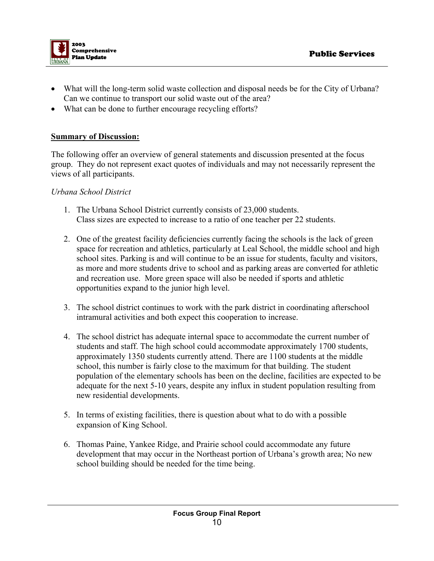

- What will the long-term solid waste collection and disposal needs be for the City of Urbana? Can we continue to transport our solid waste out of the area?
- What can be done to further encourage recycling efforts?

#### **Summary of Discussion:**

The following offer an overview of general statements and discussion presented at the focus group. They do not represent exact quotes of individuals and may not necessarily represent the views of all participants.

#### *Urbana School District*

- 1. The Urbana School District currently consists of 23,000 students. Class sizes are expected to increase to a ratio of one teacher per 22 students.
- 2. One of the greatest facility deficiencies currently facing the schools is the lack of green space for recreation and athletics, particularly at Leal School, the middle school and high school sites. Parking is and will continue to be an issue for students, faculty and visitors, as more and more students drive to school and as parking areas are converted for athletic and recreation use. More green space will also be needed if sports and athletic opportunities expand to the junior high level.
- 3. The school district continues to work with the park district in coordinating afterschool intramural activities and both expect this cooperation to increase.
- 4. The school district has adequate internal space to accommodate the current number of students and staff. The high school could accommodate approximately 1700 students, approximately 1350 students currently attend. There are 1100 students at the middle school, this number is fairly close to the maximum for that building. The student population of the elementary schools has been on the decline, facilities are expected to be adequate for the next 5-10 years, despite any influx in student population resulting from new residential developments.
- 5. In terms of existing facilities, there is question about what to do with a possible expansion of King School.
- 6. Thomas Paine, Yankee Ridge, and Prairie school could accommodate any future development that may occur in the Northeast portion of Urbana's growth area; No new school building should be needed for the time being.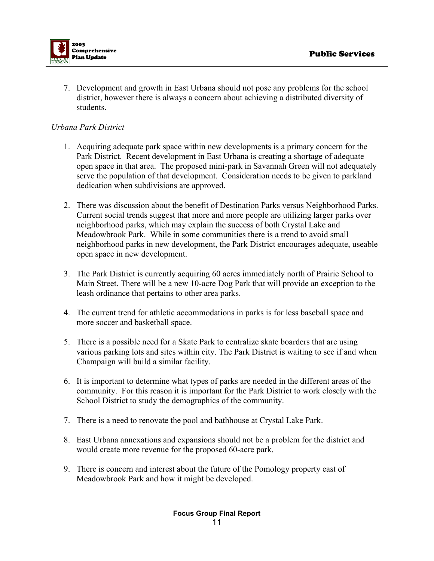

7. Development and growth in East Urbana should not pose any problems for the school district, however there is always a concern about achieving a distributed diversity of students.

#### *Urbana Park District*

- 1. Acquiring adequate park space within new developments is a primary concern for the Park District. Recent development in East Urbana is creating a shortage of adequate open space in that area. The proposed mini-park in Savannah Green will not adequately serve the population of that development. Consideration needs to be given to parkland dedication when subdivisions are approved.
- 2. There was discussion about the benefit of Destination Parks versus Neighborhood Parks. Current social trends suggest that more and more people are utilizing larger parks over neighborhood parks, which may explain the success of both Crystal Lake and Meadowbrook Park. While in some communities there is a trend to avoid small neighborhood parks in new development, the Park District encourages adequate, useable open space in new development.
- 3. The Park District is currently acquiring 60 acres immediately north of Prairie School to Main Street. There will be a new 10-acre Dog Park that will provide an exception to the leash ordinance that pertains to other area parks.
- 4. The current trend for athletic accommodations in parks is for less baseball space and more soccer and basketball space.
- 5. There is a possible need for a Skate Park to centralize skate boarders that are using various parking lots and sites within city. The Park District is waiting to see if and when Champaign will build a similar facility.
- 6. It is important to determine what types of parks are needed in the different areas of the community. For this reason it is important for the Park District to work closely with the School District to study the demographics of the community.
- 7. There is a need to renovate the pool and bathhouse at Crystal Lake Park.
- 8. East Urbana annexations and expansions should not be a problem for the district and would create more revenue for the proposed 60-acre park.
- 9. There is concern and interest about the future of the Pomology property east of Meadowbrook Park and how it might be developed.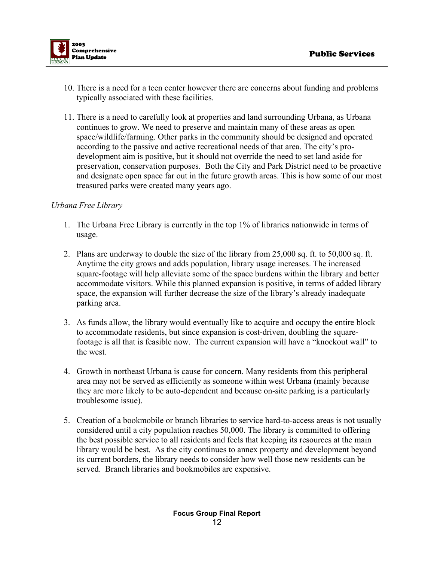

- 10. There is a need for a teen center however there are concerns about funding and problems typically associated with these facilities.
- 11. There is a need to carefully look at properties and land surrounding Urbana, as Urbana continues to grow. We need to preserve and maintain many of these areas as open space/wildlife/farming. Other parks in the community should be designed and operated according to the passive and active recreational needs of that area. The city's prodevelopment aim is positive, but it should not override the need to set land aside for preservation, conservation purposes. Both the City and Park District need to be proactive and designate open space far out in the future growth areas. This is how some of our most treasured parks were created many years ago.

#### *Urbana Free Library*

- 1. The Urbana Free Library is currently in the top 1% of libraries nationwide in terms of usage.
- 2. Plans are underway to double the size of the library from 25,000 sq. ft. to 50,000 sq. ft. Anytime the city grows and adds population, library usage increases. The increased square-footage will help alleviate some of the space burdens within the library and better accommodate visitors. While this planned expansion is positive, in terms of added library space, the expansion will further decrease the size of the library's already inadequate parking area.
- 3. As funds allow, the library would eventually like to acquire and occupy the entire block to accommodate residents, but since expansion is cost-driven, doubling the squarefootage is all that is feasible now. The current expansion will have a "knockout wall" to the west.
- 4. Growth in northeast Urbana is cause for concern. Many residents from this peripheral area may not be served as efficiently as someone within west Urbana (mainly because they are more likely to be auto-dependent and because on-site parking is a particularly troublesome issue).
- 5. Creation of a bookmobile or branch libraries to service hard-to-access areas is not usually considered until a city population reaches 50,000. The library is committed to offering the best possible service to all residents and feels that keeping its resources at the main library would be best. As the city continues to annex property and development beyond its current borders, the library needs to consider how well those new residents can be served. Branch libraries and bookmobiles are expensive.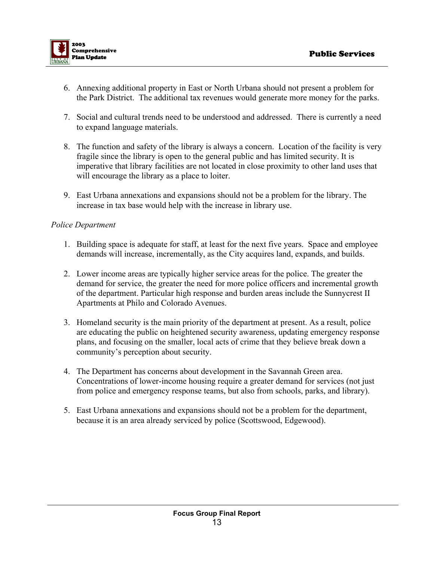

- 6. Annexing additional property in East or North Urbana should not present a problem for the Park District. The additional tax revenues would generate more money for the parks.
- 7. Social and cultural trends need to be understood and addressed. There is currently a need to expand language materials.
- 8. The function and safety of the library is always a concern. Location of the facility is very fragile since the library is open to the general public and has limited security. It is imperative that library facilities are not located in close proximity to other land uses that will encourage the library as a place to loiter.
- 9. East Urbana annexations and expansions should not be a problem for the library. The increase in tax base would help with the increase in library use.

#### *Police Department*

- 1. Building space is adequate for staff, at least for the next five years. Space and employee demands will increase, incrementally, as the City acquires land, expands, and builds.
- 2. Lower income areas are typically higher service areas for the police. The greater the demand for service, the greater the need for more police officers and incremental growth of the department. Particular high response and burden areas include the Sunnycrest II Apartments at Philo and Colorado Avenues.
- 3. Homeland security is the main priority of the department at present. As a result, police are educating the public on heightened security awareness, updating emergency response plans, and focusing on the smaller, local acts of crime that they believe break down a community's perception about security.
- 4. The Department has concerns about development in the Savannah Green area. Concentrations of lower-income housing require a greater demand for services (not just from police and emergency response teams, but also from schools, parks, and library).
- 5. East Urbana annexations and expansions should not be a problem for the department, because it is an area already serviced by police (Scottswood, Edgewood).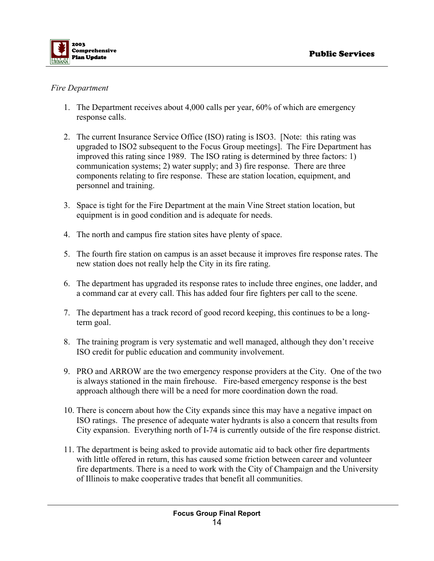

#### *Fire Department*

- 1. The Department receives about 4,000 calls per year, 60% of which are emergency response calls.
- 2. The current Insurance Service Office (ISO) rating is ISO3. [Note: this rating was upgraded to ISO2 subsequent to the Focus Group meetings]. The Fire Department has improved this rating since 1989. The ISO rating is determined by three factors: 1) communication systems; 2) water supply; and 3) fire response. There are three components relating to fire response. These are station location, equipment, and personnel and training.
- 3. Space is tight for the Fire Department at the main Vine Street station location, but equipment is in good condition and is adequate for needs.
- 4. The north and campus fire station sites have plenty of space.
- 5. The fourth fire station on campus is an asset because it improves fire response rates. The new station does not really help the City in its fire rating.
- 6. The department has upgraded its response rates to include three engines, one ladder, and a command car at every call. This has added four fire fighters per call to the scene.
- 7. The department has a track record of good record keeping, this continues to be a longterm goal.
- 8. The training program is very systematic and well managed, although they don't receive ISO credit for public education and community involvement.
- 9. PRO and ARROW are the two emergency response providers at the City. One of the two is always stationed in the main firehouse. Fire-based emergency response is the best approach although there will be a need for more coordination down the road.
- 10. There is concern about how the City expands since this may have a negative impact on ISO ratings. The presence of adequate water hydrants is also a concern that results from City expansion. Everything north of I-74 is currently outside of the fire response district.
- 11. The department is being asked to provide automatic aid to back other fire departments with little offered in return, this has caused some friction between career and volunteer fire departments. There is a need to work with the City of Champaign and the University of Illinois to make cooperative trades that benefit all communities.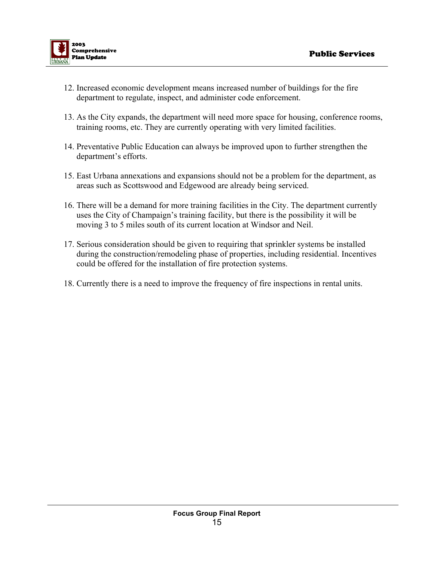

- 12. Increased economic development means increased number of buildings for the fire department to regulate, inspect, and administer code enforcement.
- 13. As the City expands, the department will need more space for housing, conference rooms, training rooms, etc. They are currently operating with very limited facilities.
- 14. Preventative Public Education can always be improved upon to further strengthen the department's efforts.
- 15. East Urbana annexations and expansions should not be a problem for the department, as areas such as Scottswood and Edgewood are already being serviced.
- 16. There will be a demand for more training facilities in the City. The department currently uses the City of Champaign's training facility, but there is the possibility it will be moving 3 to 5 miles south of its current location at Windsor and Neil.
- 17. Serious consideration should be given to requiring that sprinkler systems be installed during the construction/remodeling phase of properties, including residential. Incentives could be offered for the installation of fire protection systems.
- 18. Currently there is a need to improve the frequency of fire inspections in rental units.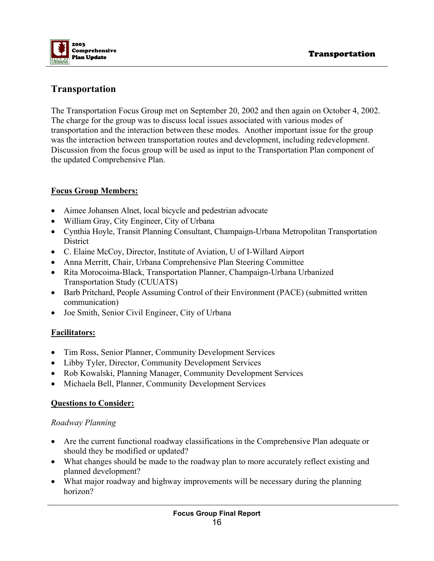# **Transportation**

The Transportation Focus Group met on September 20, 2002 and then again on October 4, 2002. The charge for the group was to discuss local issues associated with various modes of transportation and the interaction between these modes. Another important issue for the group was the interaction between transportation routes and development, including redevelopment. Discussion from the focus group will be used as input to the Transportation Plan component of the updated Comprehensive Plan.

# **Focus Group Members:**

- Aimee Johansen Alnet, local bicycle and pedestrian advocate
- William Gray, City Engineer, City of Urbana
- Cynthia Hoyle, Transit Planning Consultant, Champaign-Urbana Metropolitan Transportation **District**
- C. Elaine McCoy, Director, Institute of Aviation, U of I-Willard Airport
- Anna Merritt, Chair, Urbana Comprehensive Plan Steering Committee
- Rita Morocoima-Black, Transportation Planner, Champaign-Urbana Urbanized Transportation Study (CUUATS)
- Barb Pritchard, People Assuming Control of their Environment (PACE) (submitted written communication)
- Joe Smith, Senior Civil Engineer, City of Urbana

### **Facilitators:**

- Tim Ross, Senior Planner, Community Development Services
- Libby Tyler, Director, Community Development Services
- Rob Kowalski, Planning Manager, Community Development Services
- Michaela Bell, Planner, Community Development Services

### **Questions to Consider:**

### *Roadway Planning*

- Are the current functional roadway classifications in the Comprehensive Plan adequate or should they be modified or updated?
- What changes should be made to the roadway plan to more accurately reflect existing and planned development?
- What major roadway and highway improvements will be necessary during the planning horizon?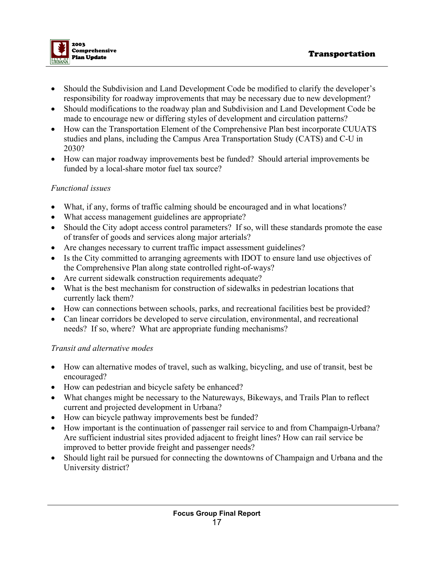

- Should the Subdivision and Land Development Code be modified to clarify the developer's responsibility for roadway improvements that may be necessary due to new development?
- Should modifications to the roadway plan and Subdivision and Land Development Code be made to encourage new or differing styles of development and circulation patterns?
- How can the Transportation Element of the Comprehensive Plan best incorporate CUUATS studies and plans, including the Campus Area Transportation Study (CATS) and C-U in 2030?
- How can major roadway improvements best be funded? Should arterial improvements be funded by a local-share motor fuel tax source?

#### *Functional issues*

- What, if any, forms of traffic calming should be encouraged and in what locations?
- What access management guidelines are appropriate?
- Should the City adopt access control parameters? If so, will these standards promote the ease of transfer of goods and services along major arterials?
- Are changes necessary to current traffic impact assessment guidelines?
- Is the City committed to arranging agreements with IDOT to ensure land use objectives of the Comprehensive Plan along state controlled right-of-ways?
- Are current sidewalk construction requirements adequate?
- What is the best mechanism for construction of sidewalks in pedestrian locations that currently lack them?
- How can connections between schools, parks, and recreational facilities best be provided?
- Can linear corridors be developed to serve circulation, environmental, and recreational needs? If so, where? What are appropriate funding mechanisms?

#### *Transit and alternative modes*

- How can alternative modes of travel, such as walking, bicycling, and use of transit, best be encouraged?
- How can pedestrian and bicycle safety be enhanced?
- What changes might be necessary to the Natureways, Bikeways, and Trails Plan to reflect current and projected development in Urbana?
- How can bicycle pathway improvements best be funded?
- How important is the continuation of passenger rail service to and from Champaign-Urbana? Are sufficient industrial sites provided adjacent to freight lines? How can rail service be improved to better provide freight and passenger needs?
- Should light rail be pursued for connecting the downtowns of Champaign and Urbana and the University district?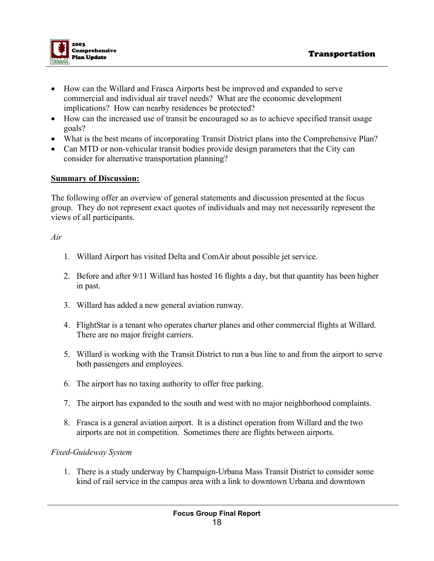

- How can the Willard and Frasca Airports best be improved and expanded to serve commercial and individual air travel needs? What are the economic development implications? How can nearby residences be protected?
- How can the increased use of transit be encouraged so as to achieve specified transit usage goals?
- What is the best means of incorporating Transit District plans into the Comprehensive Plan?
- Can MTD or non-vehicular transit bodies provide design parameters that the City can consider for alternative transportation planning?

#### **Summary of Discussion:**

The following offer an overview of general statements and discussion presented at the focus group. They do not represent exact quotes of individuals and may not necessarily represent the views of all participants.

#### *Air*

- 1. Willard Airport has visited Delta and ComAir about possible jet service.
- 2. Before and after 9/11 Willard has hosted 16 flights a day, but that quantity has been higher in past.
- 3. Willard has added a new general aviation runway.
- 4. FlightStar is a tenant who operates charter planes and other commercial flights at Willard. There are no major freight carriers.
- 5. Willard is working with the Transit District to run a bus line to and from the airport to serve both passengers and employees.
- 6. The airport has no taxing authority to offer free parking.
- 7. The airport has expanded to the south and west with no major neighborhood complaints.
- 8. Frasca is a general aviation airport. It is a distinct operation from Willard and the two airports are not in competition. Sometimes there are flights between airports.

#### *Fixed-Guideway System*

1. There is a study underway by Champaign-Urbana Mass Transit District to consider some kind of rail service in the campus area with a link to downtown Urbana and downtown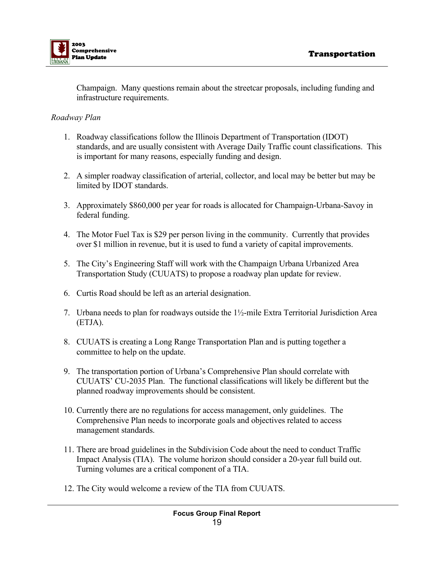

Champaign. Many questions remain about the streetcar proposals, including funding and infrastructure requirements.

#### *Roadway Plan*

- 1. Roadway classifications follow the Illinois Department of Transportation (IDOT) standards, and are usually consistent with Average Daily Traffic count classifications. This is important for many reasons, especially funding and design.
- 2. A simpler roadway classification of arterial, collector, and local may be better but may be limited by IDOT standards.
- 3. Approximately \$860,000 per year for roads is allocated for Champaign-Urbana-Savoy in federal funding.
- 4. The Motor Fuel Tax is \$29 per person living in the community. Currently that provides over \$1 million in revenue, but it is used to fund a variety of capital improvements.
- 5. The City's Engineering Staff will work with the Champaign Urbana Urbanized Area Transportation Study (CUUATS) to propose a roadway plan update for review.
- 6. Curtis Road should be left as an arterial designation.
- 7. Urbana needs to plan for roadways outside the 1½-mile Extra Territorial Jurisdiction Area (ETJA).
- 8. CUUATS is creating a Long Range Transportation Plan and is putting together a committee to help on the update.
- 9. The transportation portion of Urbana's Comprehensive Plan should correlate with CUUATS' CU-2035 Plan. The functional classifications will likely be different but the planned roadway improvements should be consistent.
- 10. Currently there are no regulations for access management, only guidelines. The Comprehensive Plan needs to incorporate goals and objectives related to access management standards.
- 11. There are broad guidelines in the Subdivision Code about the need to conduct Traffic Impact Analysis (TIA). The volume horizon should consider a 20-year full build out. Turning volumes are a critical component of a TIA.
- 12. The City would welcome a review of the TIA from CUUATS.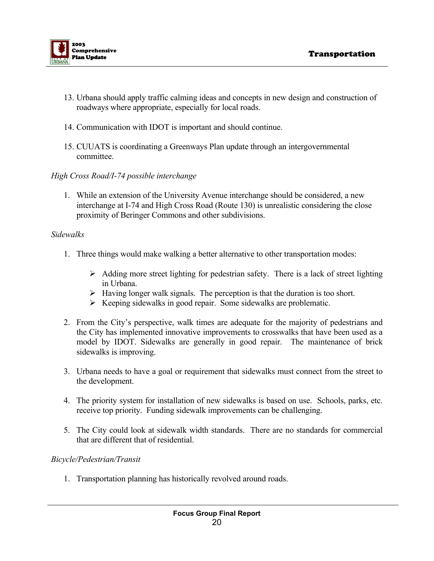

- 13. Urbana should apply traffic calming ideas and concepts in new design and construction of roadways where appropriate, especially for local roads.
- 14. Communication with IDOT is important and should continue.
- 15. CUUATS is coordinating a Greenways Plan update through an intergovernmental committee.

#### *High Cross Road/I-74 possible interchange*

1. While an extension of the University Avenue interchange should be considered, a new interchange at I-74 and High Cross Road (Route 130) is unrealistic considering the close proximity of Beringer Commons and other subdivisions.

#### *Sidewalks*

- 1. Three things would make walking a better alternative to other transportation modes:
	- $\triangleright$  Adding more street lighting for pedestrian safety. There is a lack of street lighting in Urbana.
	- $\triangleright$  Having longer walk signals. The perception is that the duration is too short.
	- $\triangleright$  Keeping sidewalks in good repair. Some sidewalks are problematic.
- 2. From the City's perspective, walk times are adequate for the majority of pedestrians and the City has implemented innovative improvements to crosswalks that have been used as a model by IDOT. Sidewalks are generally in good repair. The maintenance of brick sidewalks is improving.
- 3. Urbana needs to have a goal or requirement that sidewalks must connect from the street to the development.
- 4. The priority system for installation of new sidewalks is based on use. Schools, parks, etc. receive top priority. Funding sidewalk improvements can be challenging.
- 5. The City could look at sidewalk width standards. There are no standards for commercial that are different that of residential.

#### *Bicycle/Pedestrian/Transit*

1. Transportation planning has historically revolved around roads.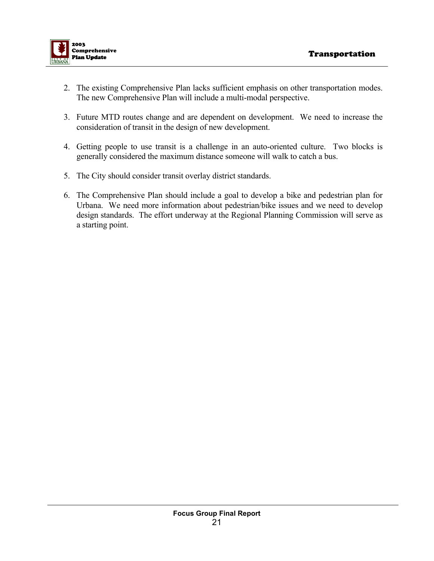

- 2. The existing Comprehensive Plan lacks sufficient emphasis on other transportation modes. The new Comprehensive Plan will include a multi-modal perspective.
- 3. Future MTD routes change and are dependent on development. We need to increase the consideration of transit in the design of new development.
- 4. Getting people to use transit is a challenge in an auto-oriented culture. Two blocks is generally considered the maximum distance someone will walk to catch a bus.
- 5. The City should consider transit overlay district standards.
- 6. The Comprehensive Plan should include a goal to develop a bike and pedestrian plan for Urbana. We need more information about pedestrian/bike issues and we need to develop design standards. The effort underway at the Regional Planning Commission will serve as a starting point.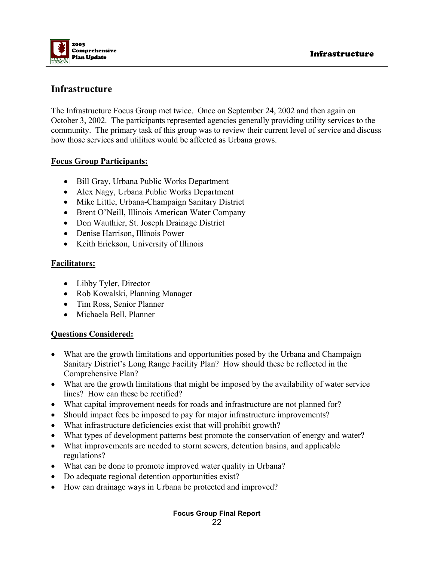

## **Infrastructure**

The Infrastructure Focus Group met twice. Once on September 24, 2002 and then again on October 3, 2002. The participants represented agencies generally providing utility services to the community. The primary task of this group was to review their current level of service and discuss how those services and utilities would be affected as Urbana grows.

#### **Focus Group Participants:**

- Bill Gray, Urbana Public Works Department
- Alex Nagy, Urbana Public Works Department
- Mike Little, Urbana-Champaign Sanitary District
- Brent O'Neill, Illinois American Water Company
- Don Wauthier, St. Joseph Drainage District
- Denise Harrison, Illinois Power
- Keith Erickson, University of Illinois

#### **Facilitators:**

- Libby Tyler, Director
- Rob Kowalski, Planning Manager
- Tim Ross, Senior Planner
- Michaela Bell, Planner

#### **Questions Considered:**

- What are the growth limitations and opportunities posed by the Urbana and Champaign Sanitary District's Long Range Facility Plan? How should these be reflected in the Comprehensive Plan?
- What are the growth limitations that might be imposed by the availability of water service lines? How can these be rectified?
- What capital improvement needs for roads and infrastructure are not planned for?
- Should impact fees be imposed to pay for major infrastructure improvements?
- What infrastructure deficiencies exist that will prohibit growth?
- What types of development patterns best promote the conservation of energy and water?
- What improvements are needed to storm sewers, detention basins, and applicable regulations?
- What can be done to promote improved water quality in Urbana?
- Do adequate regional detention opportunities exist?
- How can drainage ways in Urbana be protected and improved?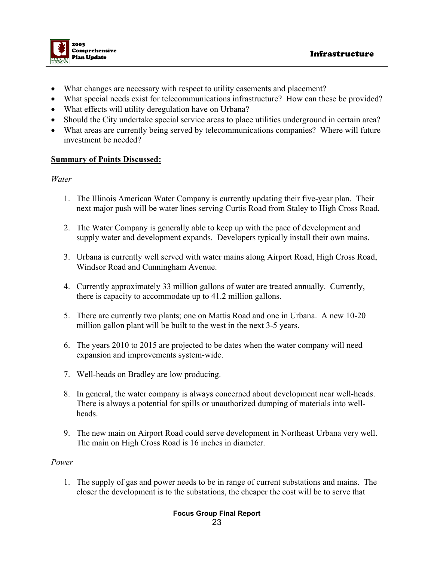

- What changes are necessary with respect to utility easements and placement?
- What special needs exist for telecommunications infrastructure? How can these be provided?
- What effects will utility deregulation have on Urbana?
- Should the City undertake special service areas to place utilities underground in certain area?
- What areas are currently being served by telecommunications companies? Where will future investment be needed?

#### **Summary of Points Discussed:**

#### *Water*

- 1. The Illinois American Water Company is currently updating their five-year plan. Their next major push will be water lines serving Curtis Road from Staley to High Cross Road.
- 2. The Water Company is generally able to keep up with the pace of development and supply water and development expands. Developers typically install their own mains.
- 3. Urbana is currently well served with water mains along Airport Road, High Cross Road, Windsor Road and Cunningham Avenue.
- 4. Currently approximately 33 million gallons of water are treated annually. Currently, there is capacity to accommodate up to 41.2 million gallons.
- 5. There are currently two plants; one on Mattis Road and one in Urbana. A new 10-20 million gallon plant will be built to the west in the next 3-5 years.
- 6. The years 2010 to 2015 are projected to be dates when the water company will need expansion and improvements system-wide.
- 7. Well-heads on Bradley are low producing.
- 8. In general, the water company is always concerned about development near well-heads. There is always a potential for spills or unauthorized dumping of materials into wellheads.
- 9. The new main on Airport Road could serve development in Northeast Urbana very well. The main on High Cross Road is 16 inches in diameter.

#### *Power*

1. The supply of gas and power needs to be in range of current substations and mains. The closer the development is to the substations, the cheaper the cost will be to serve that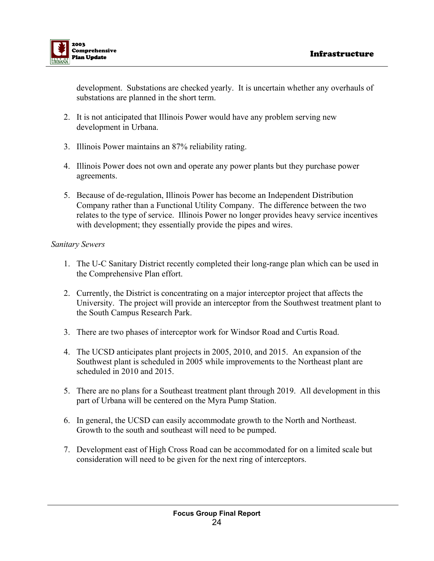

development. Substations are checked yearly. It is uncertain whether any overhauls of substations are planned in the short term.

- 2. It is not anticipated that Illinois Power would have any problem serving new development in Urbana.
- 3. Illinois Power maintains an 87% reliability rating.
- 4. Illinois Power does not own and operate any power plants but they purchase power agreements.
- 5. Because of de-regulation, Illinois Power has become an Independent Distribution Company rather than a Functional Utility Company. The difference between the two relates to the type of service. Illinois Power no longer provides heavy service incentives with development; they essentially provide the pipes and wires.

#### *Sanitary Sewers*

- 1. The U-C Sanitary District recently completed their long-range plan which can be used in the Comprehensive Plan effort.
- 2. Currently, the District is concentrating on a major interceptor project that affects the University. The project will provide an interceptor from the Southwest treatment plant to the South Campus Research Park.
- 3. There are two phases of interceptor work for Windsor Road and Curtis Road.
- 4. The UCSD anticipates plant projects in 2005, 2010, and 2015. An expansion of the Southwest plant is scheduled in 2005 while improvements to the Northeast plant are scheduled in 2010 and 2015.
- 5. There are no plans for a Southeast treatment plant through 2019. All development in this part of Urbana will be centered on the Myra Pump Station.
- 6. In general, the UCSD can easily accommodate growth to the North and Northeast. Growth to the south and southeast will need to be pumped.
- 7. Development east of High Cross Road can be accommodated for on a limited scale but consideration will need to be given for the next ring of interceptors.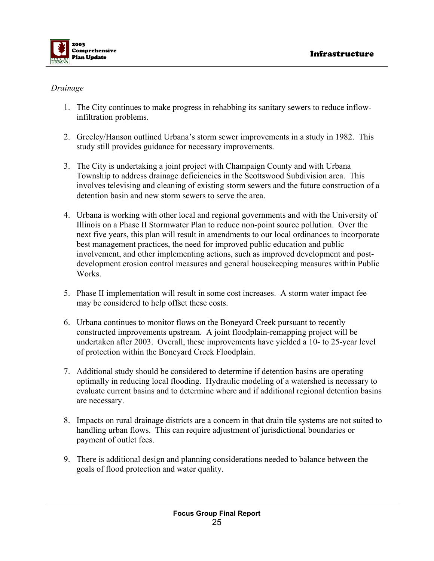

#### *Drainage*

- 1. The City continues to make progress in rehabbing its sanitary sewers to reduce inflowinfiltration problems.
- 2. Greeley/Hanson outlined Urbana's storm sewer improvements in a study in 1982. This study still provides guidance for necessary improvements.
- 3. The City is undertaking a joint project with Champaign County and with Urbana Township to address drainage deficiencies in the Scottswood Subdivision area. This involves televising and cleaning of existing storm sewers and the future construction of a detention basin and new storm sewers to serve the area.
- 4. Urbana is working with other local and regional governments and with the University of Illinois on a Phase II Stormwater Plan to reduce non-point source pollution. Over the next five years, this plan will result in amendments to our local ordinances to incorporate best management practices, the need for improved public education and public involvement, and other implementing actions, such as improved development and postdevelopment erosion control measures and general housekeeping measures within Public Works.
- 5. Phase II implementation will result in some cost increases. A storm water impact fee may be considered to help offset these costs.
- 6. Urbana continues to monitor flows on the Boneyard Creek pursuant to recently constructed improvements upstream. A joint floodplain-remapping project will be undertaken after 2003. Overall, these improvements have yielded a 10- to 25-year level of protection within the Boneyard Creek Floodplain.
- 7. Additional study should be considered to determine if detention basins are operating optimally in reducing local flooding. Hydraulic modeling of a watershed is necessary to evaluate current basins and to determine where and if additional regional detention basins are necessary.
- 8. Impacts on rural drainage districts are a concern in that drain tile systems are not suited to handling urban flows. This can require adjustment of jurisdictional boundaries or payment of outlet fees.
- 9. There is additional design and planning considerations needed to balance between the goals of flood protection and water quality.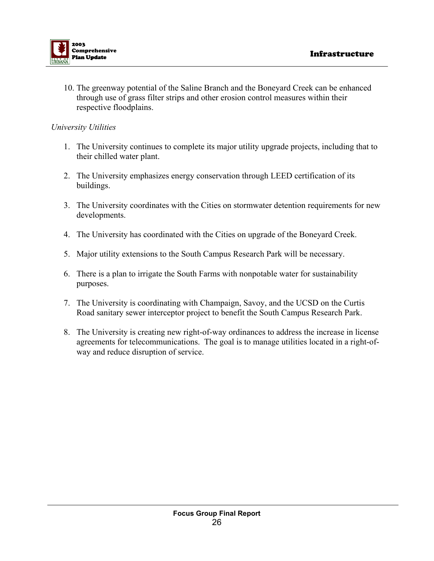

10. The greenway potential of the Saline Branch and the Boneyard Creek can be enhanced through use of grass filter strips and other erosion control measures within their respective floodplains.

#### *University Utilities*

- 1. The University continues to complete its major utility upgrade projects, including that to their chilled water plant.
- 2. The University emphasizes energy conservation through LEED certification of its buildings.
- 3. The University coordinates with the Cities on stormwater detention requirements for new developments.
- 4. The University has coordinated with the Cities on upgrade of the Boneyard Creek.
- 5. Major utility extensions to the South Campus Research Park will be necessary.
- 6. There is a plan to irrigate the South Farms with nonpotable water for sustainability purposes.
- 7. The University is coordinating with Champaign, Savoy, and the UCSD on the Curtis Road sanitary sewer interceptor project to benefit the South Campus Research Park.
- 8. The University is creating new right-of-way ordinances to address the increase in license agreements for telecommunications. The goal is to manage utilities located in a right-ofway and reduce disruption of service.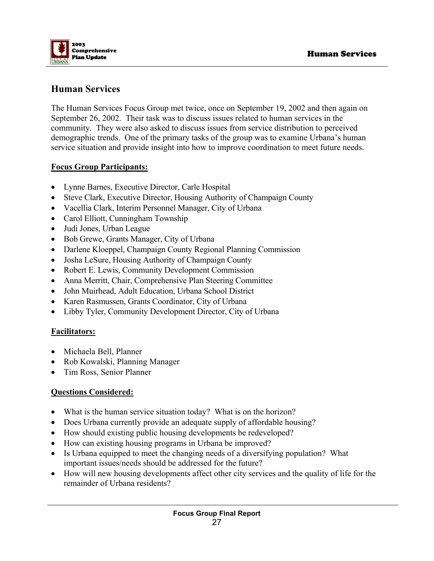

# **Human Services**

The Human Services Focus Group met twice, once on September 19, 2002 and then again on September 26, 2002. Their task was to discuss issues related to human services in the community. They were also asked to discuss issues from service distribution to perceived demographic trends. One of the primary tasks of the group was to examine Urbana's human service situation and provide insight into how to improve coordination to meet future needs.

#### **Focus Group Participants:**

- Lynne Barnes, Executive Director, Carle Hospital
- Steve Clark, Executive Director, Housing Authority of Champaign County
- Vacellia Clark, Interim Personnel Manager, City of Urbana
- Carol Elliott, Cunningham Township
- Judi Jones, Urban League
- Bob Grewe, Grants Manager, City of Urbana
- Darlene Kloeppel, Champaign County Regional Planning Commission
- Josha LeSure, Housing Authority of Champaign County
- Robert E. Lewis, Community Development Commission
- Anna Merritt, Chair, Comprehensive Plan Steering Committee
- John Muirhead, Adult Education, Urbana School District
- Karen Rasmussen, Grants Coordinator, City of Urbana
- Libby Tyler, Community Development Director, City of Urbana

#### **Facilitators:**

- Michaela Bell, Planner
- Rob Kowalski, Planning Manager
- Tim Ross, Senior Planner

#### **Questions Considered:**

- What is the human service situation today? What is on the horizon?
- Does Urbana currently provide an adequate supply of affordable housing?
- How should existing public housing developments be redeveloped?
- How can existing housing programs in Urbana be improved?
- Is Urbana equipped to meet the changing needs of a diversifying population? What important issues/needs should be addressed for the future?
- How will new housing developments affect other city services and the quality of life for the remainder of Urbana residents?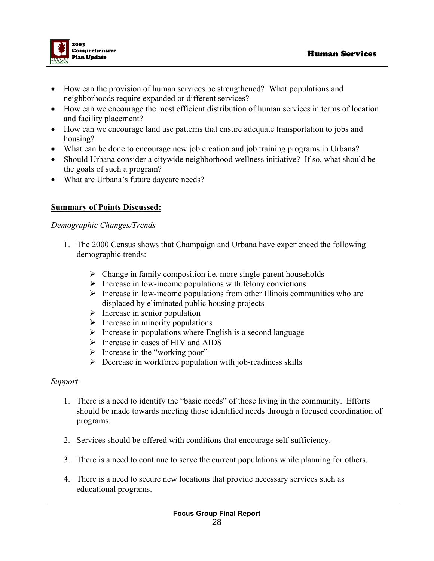

- How can the provision of human services be strengthened? What populations and neighborhoods require expanded or different services?
- How can we encourage the most efficient distribution of human services in terms of location and facility placement?
- How can we encourage land use patterns that ensure adequate transportation to jobs and housing?
- What can be done to encourage new job creation and job training programs in Urbana?
- Should Urbana consider a citywide neighborhood wellness initiative? If so, what should be the goals of such a program?
- What are Urbana's future daycare needs?

#### **Summary of Points Discussed:**

#### *Demographic Changes/Trends*

- 1. The 2000 Census shows that Champaign and Urbana have experienced the following demographic trends:
	- $\triangleright$  Change in family composition i.e. more single-parent households
	- $\triangleright$  Increase in low-income populations with felony convictions
	- $\triangleright$  Increase in low-income populations from other Illinois communities who are displaced by eliminated public housing projects
	- $\triangleright$  Increase in senior population
	- $\triangleright$  Increase in minority populations
	- $\triangleright$  Increase in populations where English is a second language
	- $\triangleright$  Increase in cases of HIV and AIDS
	- $\triangleright$  Increase in the "working poor"
	- $\triangleright$  Decrease in workforce population with job-readiness skills

#### *Support*

- 1. There is a need to identify the "basic needs" of those living in the community. Efforts should be made towards meeting those identified needs through a focused coordination of programs.
- 2. Services should be offered with conditions that encourage self-sufficiency.
- 3. There is a need to continue to serve the current populations while planning for others.
- 4. There is a need to secure new locations that provide necessary services such as educational programs.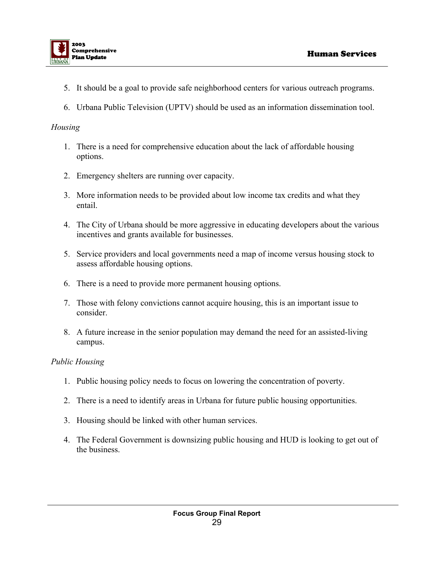

- 5. It should be a goal to provide safe neighborhood centers for various outreach programs.
- 6. Urbana Public Television (UPTV) should be used as an information dissemination tool.

#### *Housing*

- 1. There is a need for comprehensive education about the lack of affordable housing options.
- 2. Emergency shelters are running over capacity.
- 3. More information needs to be provided about low income tax credits and what they entail.
- 4. The City of Urbana should be more aggressive in educating developers about the various incentives and grants available for businesses.
- 5. Service providers and local governments need a map of income versus housing stock to assess affordable housing options.
- 6. There is a need to provide more permanent housing options.
- 7. Those with felony convictions cannot acquire housing, this is an important issue to consider.
- 8. A future increase in the senior population may demand the need for an assisted-living campus.

#### *Public Housing*

- 1. Public housing policy needs to focus on lowering the concentration of poverty.
- 2. There is a need to identify areas in Urbana for future public housing opportunities.
- 3. Housing should be linked with other human services.
- 4. The Federal Government is downsizing public housing and HUD is looking to get out of the business.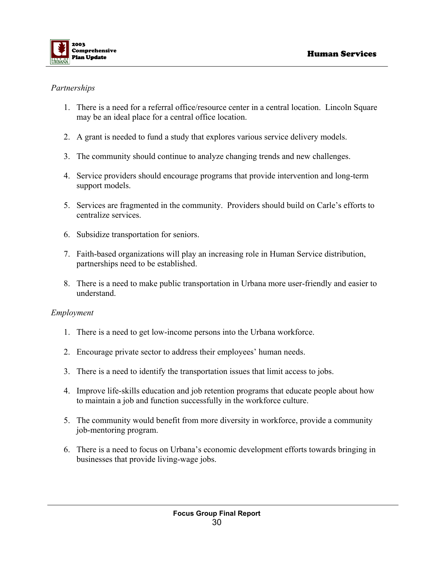

#### *Partnerships*

- 1. There is a need for a referral office/resource center in a central location. Lincoln Square may be an ideal place for a central office location.
- 2. A grant is needed to fund a study that explores various service delivery models.
- 3. The community should continue to analyze changing trends and new challenges.
- 4. Service providers should encourage programs that provide intervention and long-term support models.
- 5. Services are fragmented in the community. Providers should build on Carle's efforts to centralize services.
- 6. Subsidize transportation for seniors.
- 7. Faith-based organizations will play an increasing role in Human Service distribution, partnerships need to be established.
- 8. There is a need to make public transportation in Urbana more user-friendly and easier to understand.

#### *Employment*

- 1. There is a need to get low-income persons into the Urbana workforce.
- 2. Encourage private sector to address their employees' human needs.
- 3. There is a need to identify the transportation issues that limit access to jobs.
- 4. Improve life-skills education and job retention programs that educate people about how to maintain a job and function successfully in the workforce culture.
- 5. The community would benefit from more diversity in workforce, provide a community job-mentoring program.
- 6. There is a need to focus on Urbana's economic development efforts towards bringing in businesses that provide living-wage jobs.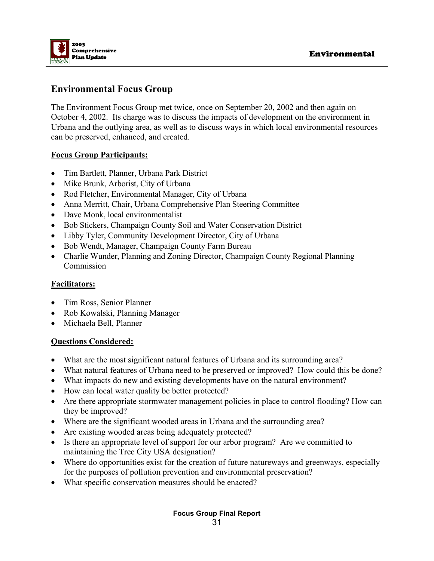

# **Environmental Focus Group**

The Environment Focus Group met twice, once on September 20, 2002 and then again on October 4, 2002. Its charge was to discuss the impacts of development on the environment in Urbana and the outlying area, as well as to discuss ways in which local environmental resources can be preserved, enhanced, and created.

#### **Focus Group Participants:**

- Tim Bartlett, Planner, Urbana Park District
- Mike Brunk, Arborist, City of Urbana
- Rod Fletcher, Environmental Manager, City of Urbana
- Anna Merritt, Chair, Urbana Comprehensive Plan Steering Committee
- Dave Monk, local environmentalist
- Bob Stickers, Champaign County Soil and Water Conservation District
- Libby Tyler, Community Development Director, City of Urbana
- Bob Wendt, Manager, Champaign County Farm Bureau
- Charlie Wunder, Planning and Zoning Director, Champaign County Regional Planning **Commission**

#### **Facilitators:**

- Tim Ross, Senior Planner
- Rob Kowalski, Planning Manager
- Michaela Bell, Planner

#### **Questions Considered:**

- What are the most significant natural features of Urbana and its surrounding area?
- What natural features of Urbana need to be preserved or improved? How could this be done?
- What impacts do new and existing developments have on the natural environment?
- How can local water quality be better protected?
- Are there appropriate stormwater management policies in place to control flooding? How can they be improved?
- Where are the significant wooded areas in Urbana and the surrounding area?
- Are existing wooded areas being adequately protected?
- Is there an appropriate level of support for our arbor program? Are we committed to maintaining the Tree City USA designation?
- Where do opportunities exist for the creation of future natureways and greenways, especially for the purposes of pollution prevention and environmental preservation?
- What specific conservation measures should be enacted?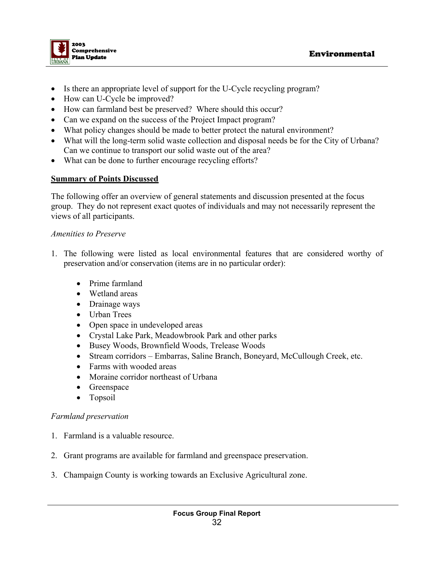

- Is there an appropriate level of support for the U-Cycle recycling program?
- How can U-Cycle be improved?
- How can farmland best be preserved? Where should this occur?
- Can we expand on the success of the Project Impact program?
- What policy changes should be made to better protect the natural environment?
- What will the long-term solid waste collection and disposal needs be for the City of Urbana? Can we continue to transport our solid waste out of the area?
- What can be done to further encourage recycling efforts?

#### **Summary of Points Discussed**

The following offer an overview of general statements and discussion presented at the focus group. They do not represent exact quotes of individuals and may not necessarily represent the views of all participants.

#### *Amenities to Preserve*

- 1. The following were listed as local environmental features that are considered worthy of preservation and/or conservation (items are in no particular order):
	- Prime farmland
	- Wetland areas
	- Drainage ways
	- Urban Trees
	- Open space in undeveloped areas
	- Crystal Lake Park, Meadowbrook Park and other parks
	- Busey Woods, Brownfield Woods, Trelease Woods
	- Stream corridors Embarras, Saline Branch, Boneyard, McCullough Creek, etc.
	- Farms with wooded areas
	- Moraine corridor northeast of Urbana
	- Greenspace
	- Topsoil

#### *Farmland preservation*

- 1. Farmland is a valuable resource.
- 2. Grant programs are available for farmland and greenspace preservation.
- 3. Champaign County is working towards an Exclusive Agricultural zone.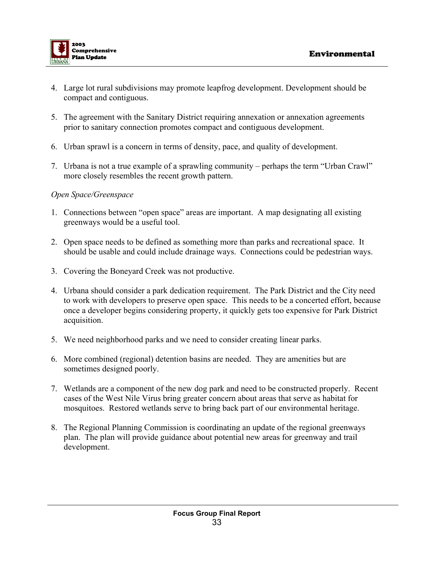

- 4. Large lot rural subdivisions may promote leapfrog development. Development should be compact and contiguous.
- 5. The agreement with the Sanitary District requiring annexation or annexation agreements prior to sanitary connection promotes compact and contiguous development.
- 6. Urban sprawl is a concern in terms of density, pace, and quality of development.
- 7. Urbana is not a true example of a sprawling community perhaps the term "Urban Crawl" more closely resembles the recent growth pattern.

#### *Open Space/Greenspace*

- 1. Connections between "open space" areas are important. A map designating all existing greenways would be a useful tool.
- 2. Open space needs to be defined as something more than parks and recreational space. It should be usable and could include drainage ways. Connections could be pedestrian ways.
- 3. Covering the Boneyard Creek was not productive.
- 4. Urbana should consider a park dedication requirement. The Park District and the City need to work with developers to preserve open space. This needs to be a concerted effort, because once a developer begins considering property, it quickly gets too expensive for Park District acquisition.
- 5. We need neighborhood parks and we need to consider creating linear parks.
- 6. More combined (regional) detention basins are needed. They are amenities but are sometimes designed poorly.
- 7. Wetlands are a component of the new dog park and need to be constructed properly. Recent cases of the West Nile Virus bring greater concern about areas that serve as habitat for mosquitoes. Restored wetlands serve to bring back part of our environmental heritage.
- 8. The Regional Planning Commission is coordinating an update of the regional greenways plan. The plan will provide guidance about potential new areas for greenway and trail development.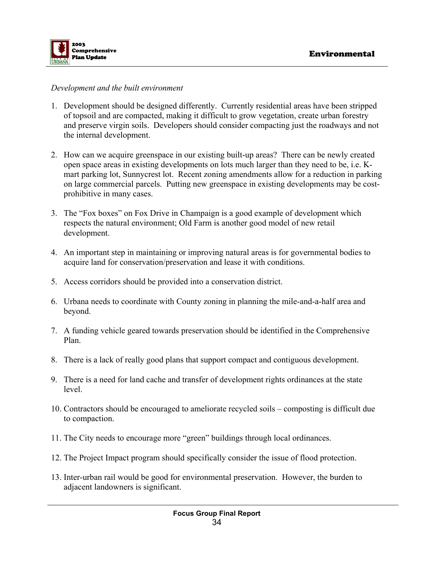

#### *Development and the built environment*

- 1. Development should be designed differently. Currently residential areas have been stripped of topsoil and are compacted, making it difficult to grow vegetation, create urban forestry and preserve virgin soils. Developers should consider compacting just the roadways and not the internal development.
- 2. How can we acquire greenspace in our existing built-up areas? There can be newly created open space areas in existing developments on lots much larger than they need to be, i.e. Kmart parking lot, Sunnycrest lot. Recent zoning amendments allow for a reduction in parking on large commercial parcels. Putting new greenspace in existing developments may be costprohibitive in many cases.
- 3. The "Fox boxes" on Fox Drive in Champaign is a good example of development which respects the natural environment; Old Farm is another good model of new retail development.
- 4. An important step in maintaining or improving natural areas is for governmental bodies to acquire land for conservation/preservation and lease it with conditions.
- 5. Access corridors should be provided into a conservation district.
- 6. Urbana needs to coordinate with County zoning in planning the mile-and-a-half area and beyond.
- 7. A funding vehicle geared towards preservation should be identified in the Comprehensive Plan.
- 8. There is a lack of really good plans that support compact and contiguous development.
- 9. There is a need for land cache and transfer of development rights ordinances at the state level.
- 10. Contractors should be encouraged to ameliorate recycled soils composting is difficult due to compaction.
- 11. The City needs to encourage more "green" buildings through local ordinances.
- 12. The Project Impact program should specifically consider the issue of flood protection.
- 13. Inter-urban rail would be good for environmental preservation. However, the burden to adjacent landowners is significant.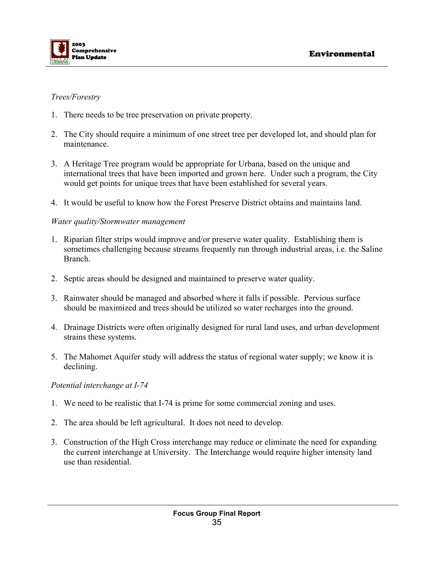

#### *Trees/Forestry*

- 1. There needs to be tree preservation on private property.
- 2. The City should require a minimum of one street tree per developed lot, and should plan for maintenance.
- 3. A Heritage Tree program would be appropriate for Urbana, based on the unique and international trees that have been imported and grown here. Under such a program, the City would get points for unique trees that have been established for several years.
- 4. It would be useful to know how the Forest Preserve District obtains and maintains land.

#### *Water quality/Stormwater management*

- 1. Riparian filter strips would improve and/or preserve water quality. Establishing them is sometimes challenging because streams frequently run through industrial areas, i.e. the Saline Branch.
- 2. Septic areas should be designed and maintained to preserve water quality.
- 3. Rainwater should be managed and absorbed where it falls if possible. Pervious surface should be maximized and trees should be utilized so water recharges into the ground.
- 4. Drainage Districts were often originally designed for rural land uses, and urban development strains these systems.
- 5. The Mahomet Aquifer study will address the status of regional water supply; we know it is declining.

#### *Potential interchange at I-74*

- 1. We need to be realistic that I-74 is prime for some commercial zoning and uses.
- 2. The area should be left agricultural. It does not need to develop.
- 3. Construction of the High Cross interchange may reduce or eliminate the need for expanding the current interchange at University. The Interchange would require higher intensity land use than residential.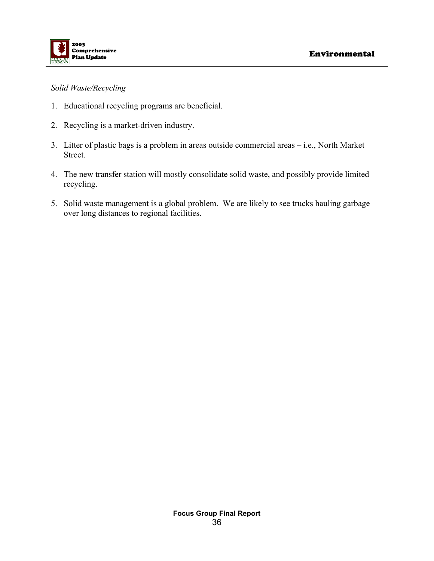

#### *Solid Waste/Recycling*

- 1. Educational recycling programs are beneficial.
- 2. Recycling is a market-driven industry.
- 3. Litter of plastic bags is a problem in areas outside commercial areas i.e., North Market Street.
- 4. The new transfer station will mostly consolidate solid waste, and possibly provide limited recycling.
- 5. Solid waste management is a global problem. We are likely to see trucks hauling garbage over long distances to regional facilities.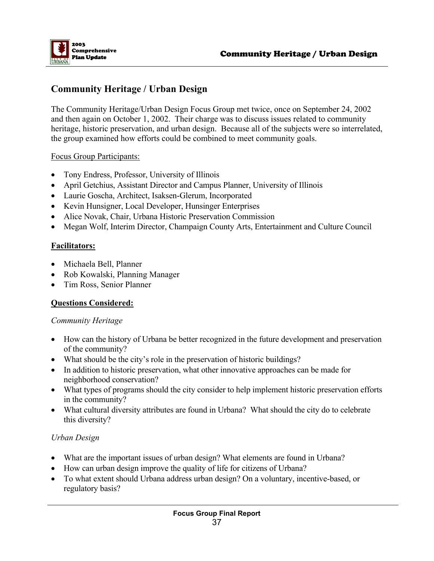

# **Community Heritage / Urban Design**

The Community Heritage/Urban Design Focus Group met twice, once on September 24, 2002 and then again on October 1, 2002. Their charge was to discuss issues related to community heritage, historic preservation, and urban design. Because all of the subjects were so interrelated, the group examined how efforts could be combined to meet community goals.

#### Focus Group Participants:

- Tony Endress, Professor, University of Illinois
- April Getchius, Assistant Director and Campus Planner, University of Illinois
- Laurie Goscha, Architect, Isaksen-Glerum, Incorporated
- Kevin Hunsigner, Local Developer, Hunsinger Enterprises
- Alice Novak, Chair, Urbana Historic Preservation Commission
- Megan Wolf, Interim Director, Champaign County Arts, Entertainment and Culture Council

#### **Facilitators:**

- Michaela Bell, Planner
- Rob Kowalski, Planning Manager
- Tim Ross, Senior Planner

#### **Questions Considered:**

#### *Community Heritage*

- How can the history of Urbana be better recognized in the future development and preservation of the community?
- What should be the city's role in the preservation of historic buildings?
- In addition to historic preservation, what other innovative approaches can be made for neighborhood conservation?
- What types of programs should the city consider to help implement historic preservation efforts in the community?
- What cultural diversity attributes are found in Urbana? What should the city do to celebrate this diversity?

#### *Urban Design*

- What are the important issues of urban design? What elements are found in Urbana?
- How can urban design improve the quality of life for citizens of Urbana?
- To what extent should Urbana address urban design? On a voluntary, incentive-based, or regulatory basis?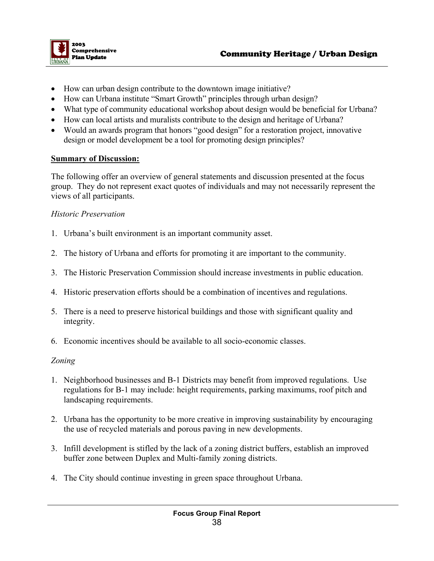

- How can urban design contribute to the downtown image initiative?
- How can Urbana institute "Smart Growth" principles through urban design?
- What type of community educational workshop about design would be beneficial for Urbana?
- How can local artists and muralists contribute to the design and heritage of Urbana?
- Would an awards program that honors "good design" for a restoration project, innovative design or model development be a tool for promoting design principles?

#### **Summary of Discussion:**

The following offer an overview of general statements and discussion presented at the focus group. They do not represent exact quotes of individuals and may not necessarily represent the views of all participants.

#### *Historic Preservation*

- 1. Urbana's built environment is an important community asset.
- 2. The history of Urbana and efforts for promoting it are important to the community.
- 3. The Historic Preservation Commission should increase investments in public education.
- 4. Historic preservation efforts should be a combination of incentives and regulations.
- 5. There is a need to preserve historical buildings and those with significant quality and integrity.
- 6. Economic incentives should be available to all socio-economic classes.

#### *Zoning*

- 1. Neighborhood businesses and B-1 Districts may benefit from improved regulations. Use regulations for B-1 may include: height requirements, parking maximums, roof pitch and landscaping requirements.
- 2. Urbana has the opportunity to be more creative in improving sustainability by encouraging the use of recycled materials and porous paving in new developments.
- 3. Infill development is stifled by the lack of a zoning district buffers, establish an improved buffer zone between Duplex and Multi-family zoning districts.
- 4. The City should continue investing in green space throughout Urbana.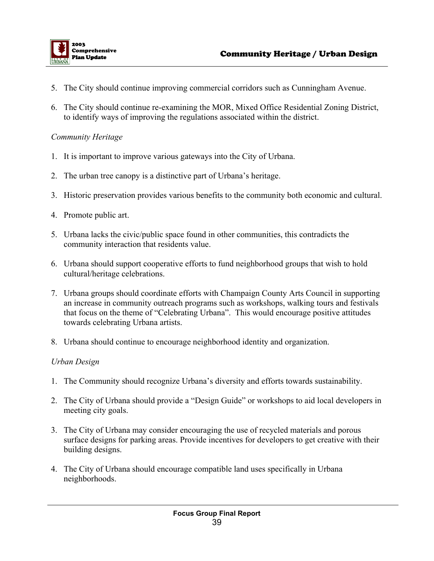

- 5. The City should continue improving commercial corridors such as Cunningham Avenue.
- 6. The City should continue re-examining the MOR, Mixed Office Residential Zoning District, to identify ways of improving the regulations associated within the district.

#### *Community Heritage*

- 1. It is important to improve various gateways into the City of Urbana.
- 2. The urban tree canopy is a distinctive part of Urbana's heritage.
- 3. Historic preservation provides various benefits to the community both economic and cultural.
- 4. Promote public art.
- 5. Urbana lacks the civic/public space found in other communities, this contradicts the community interaction that residents value.
- 6. Urbana should support cooperative efforts to fund neighborhood groups that wish to hold cultural/heritage celebrations.
- 7. Urbana groups should coordinate efforts with Champaign County Arts Council in supporting an increase in community outreach programs such as workshops, walking tours and festivals that focus on the theme of "Celebrating Urbana". This would encourage positive attitudes towards celebrating Urbana artists.
- 8. Urbana should continue to encourage neighborhood identity and organization.

#### *Urban Design*

- 1. The Community should recognize Urbana's diversity and efforts towards sustainability.
- 2. The City of Urbana should provide a "Design Guide" or workshops to aid local developers in meeting city goals.
- 3. The City of Urbana may consider encouraging the use of recycled materials and porous surface designs for parking areas. Provide incentives for developers to get creative with their building designs.
- 4. The City of Urbana should encourage compatible land uses specifically in Urbana neighborhoods.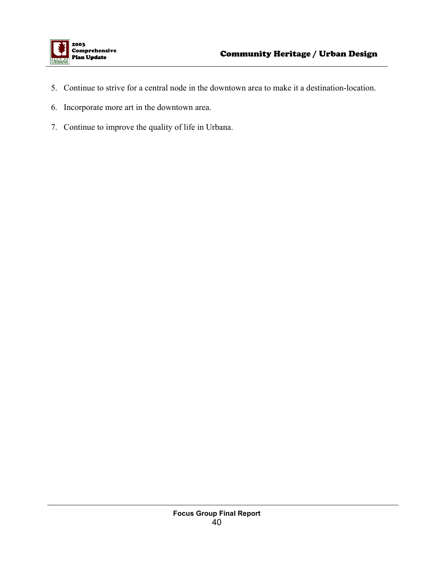

- 5. Continue to strive for a central node in the downtown area to make it a destination-location.
- 6. Incorporate more art in the downtown area.
- 7. Continue to improve the quality of life in Urbana.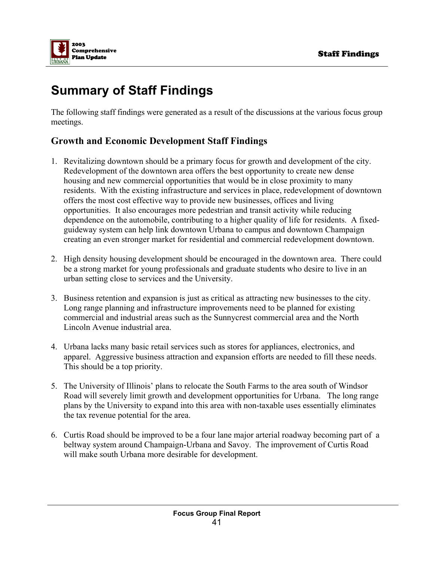

# **Summary of Staff Findings**

The following staff findings were generated as a result of the discussions at the various focus group meetings.

# **Growth and Economic Development Staff Findings**

- 1. Revitalizing downtown should be a primary focus for growth and development of the city. Redevelopment of the downtown area offers the best opportunity to create new dense housing and new commercial opportunities that would be in close proximity to many residents. With the existing infrastructure and services in place, redevelopment of downtown offers the most cost effective way to provide new businesses, offices and living opportunities. It also encourages more pedestrian and transit activity while reducing dependence on the automobile, contributing to a higher quality of life for residents. A fixedguideway system can help link downtown Urbana to campus and downtown Champaign creating an even stronger market for residential and commercial redevelopment downtown.
- 2. High density housing development should be encouraged in the downtown area. There could be a strong market for young professionals and graduate students who desire to live in an urban setting close to services and the University.
- 3. Business retention and expansion is just as critical as attracting new businesses to the city. Long range planning and infrastructure improvements need to be planned for existing commercial and industrial areas such as the Sunnycrest commercial area and the North Lincoln Avenue industrial area.
- 4. Urbana lacks many basic retail services such as stores for appliances, electronics, and apparel. Aggressive business attraction and expansion efforts are needed to fill these needs. This should be a top priority.
- 5. The University of Illinois' plans to relocate the South Farms to the area south of Windsor Road will severely limit growth and development opportunities for Urbana. The long range plans by the University to expand into this area with non-taxable uses essentially eliminates the tax revenue potential for the area.
- 6. Curtis Road should be improved to be a four lane major arterial roadway becoming part of a beltway system around Champaign-Urbana and Savoy. The improvement of Curtis Road will make south Urbana more desirable for development.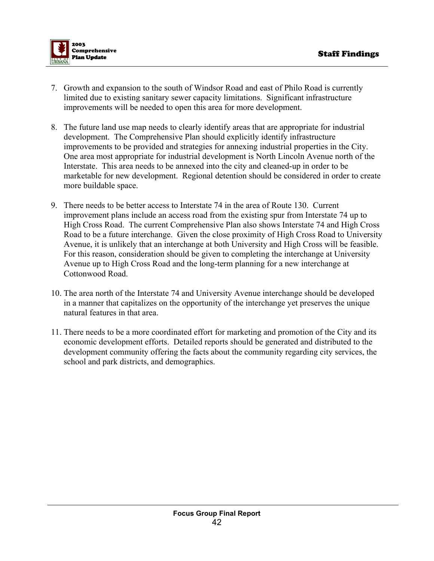

- 7. Growth and expansion to the south of Windsor Road and east of Philo Road is currently limited due to existing sanitary sewer capacity limitations. Significant infrastructure improvements will be needed to open this area for more development.
- 8. The future land use map needs to clearly identify areas that are appropriate for industrial development. The Comprehensive Plan should explicitly identify infrastructure improvements to be provided and strategies for annexing industrial properties in the City. One area most appropriate for industrial development is North Lincoln Avenue north of the Interstate. This area needs to be annexed into the city and cleaned-up in order to be marketable for new development. Regional detention should be considered in order to create more buildable space.
- 9. There needs to be better access to Interstate 74 in the area of Route 130. Current improvement plans include an access road from the existing spur from Interstate 74 up to High Cross Road. The current Comprehensive Plan also shows Interstate 74 and High Cross Road to be a future interchange. Given the close proximity of High Cross Road to University Avenue, it is unlikely that an interchange at both University and High Cross will be feasible. For this reason, consideration should be given to completing the interchange at University Avenue up to High Cross Road and the long-term planning for a new interchange at Cottonwood Road.
- 10. The area north of the Interstate 74 and University Avenue interchange should be developed in a manner that capitalizes on the opportunity of the interchange yet preserves the unique natural features in that area.
- 11. There needs to be a more coordinated effort for marketing and promotion of the City and its economic development efforts. Detailed reports should be generated and distributed to the development community offering the facts about the community regarding city services, the school and park districts, and demographics.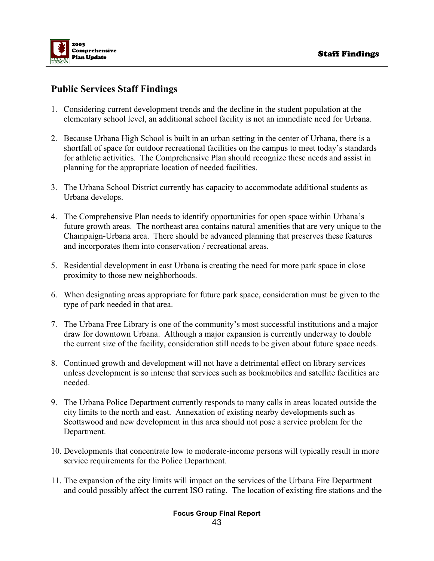

# **Public Services Staff Findings**

- 1. Considering current development trends and the decline in the student population at the elementary school level, an additional school facility is not an immediate need for Urbana.
- 2. Because Urbana High School is built in an urban setting in the center of Urbana, there is a shortfall of space for outdoor recreational facilities on the campus to meet today's standards for athletic activities. The Comprehensive Plan should recognize these needs and assist in planning for the appropriate location of needed facilities.
- 3. The Urbana School District currently has capacity to accommodate additional students as Urbana develops.
- 4. The Comprehensive Plan needs to identify opportunities for open space within Urbana's future growth areas. The northeast area contains natural amenities that are very unique to the Champaign-Urbana area. There should be advanced planning that preserves these features and incorporates them into conservation / recreational areas.
- 5. Residential development in east Urbana is creating the need for more park space in close proximity to those new neighborhoods.
- 6. When designating areas appropriate for future park space, consideration must be given to the type of park needed in that area.
- 7. The Urbana Free Library is one of the community's most successful institutions and a major draw for downtown Urbana. Although a major expansion is currently underway to double the current size of the facility, consideration still needs to be given about future space needs.
- 8. Continued growth and development will not have a detrimental effect on library services unless development is so intense that services such as bookmobiles and satellite facilities are needed.
- 9. The Urbana Police Department currently responds to many calls in areas located outside the city limits to the north and east. Annexation of existing nearby developments such as Scottswood and new development in this area should not pose a service problem for the Department.
- 10. Developments that concentrate low to moderate-income persons will typically result in more service requirements for the Police Department.
- 11. The expansion of the city limits will impact on the services of the Urbana Fire Department and could possibly affect the current ISO rating. The location of existing fire stations and the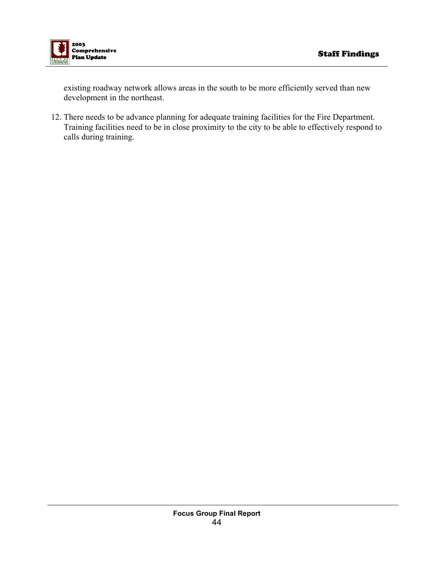

existing roadway network allows areas in the south to be more efficiently served than new development in the northeast.

12. There needs to be advance planning for adequate training facilities for the Fire Department. Training facilities need to be in close proximity to the city to be able to effectively respond to calls during training.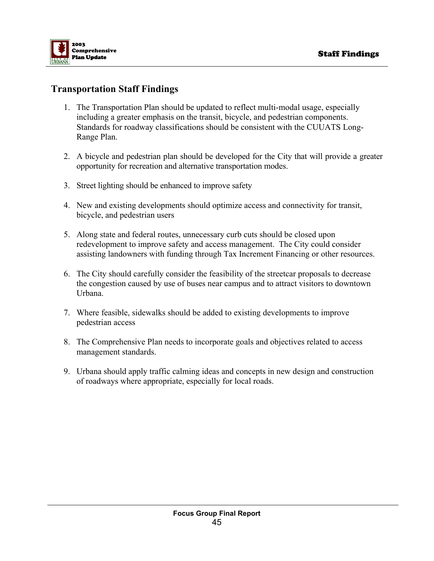

# **Transportation Staff Findings**

- 1. The Transportation Plan should be updated to reflect multi-modal usage, especially including a greater emphasis on the transit, bicycle, and pedestrian components. Standards for roadway classifications should be consistent with the CUUATS Long-Range Plan.
- 2. A bicycle and pedestrian plan should be developed for the City that will provide a greater opportunity for recreation and alternative transportation modes.
- 3. Street lighting should be enhanced to improve safety
- 4. New and existing developments should optimize access and connectivity for transit, bicycle, and pedestrian users
- 5. Along state and federal routes, unnecessary curb cuts should be closed upon redevelopment to improve safety and access management. The City could consider assisting landowners with funding through Tax Increment Financing or other resources.
- 6. The City should carefully consider the feasibility of the streetcar proposals to decrease the congestion caused by use of buses near campus and to attract visitors to downtown Urbana.
- 7. Where feasible, sidewalks should be added to existing developments to improve pedestrian access
- 8. The Comprehensive Plan needs to incorporate goals and objectives related to access management standards.
- 9. Urbana should apply traffic calming ideas and concepts in new design and construction of roadways where appropriate, especially for local roads.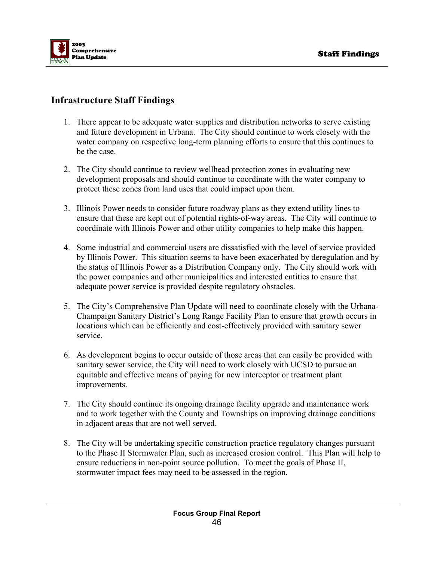

# **Infrastructure Staff Findings**

- 1. There appear to be adequate water supplies and distribution networks to serve existing and future development in Urbana. The City should continue to work closely with the water company on respective long-term planning efforts to ensure that this continues to be the case.
- 2. The City should continue to review wellhead protection zones in evaluating new development proposals and should continue to coordinate with the water company to protect these zones from land uses that could impact upon them.
- 3. Illinois Power needs to consider future roadway plans as they extend utility lines to ensure that these are kept out of potential rights-of-way areas. The City will continue to coordinate with Illinois Power and other utility companies to help make this happen.
- 4. Some industrial and commercial users are dissatisfied with the level of service provided by Illinois Power. This situation seems to have been exacerbated by deregulation and by the status of Illinois Power as a Distribution Company only. The City should work with the power companies and other municipalities and interested entities to ensure that adequate power service is provided despite regulatory obstacles.
- 5. The City's Comprehensive Plan Update will need to coordinate closely with the Urbana-Champaign Sanitary District's Long Range Facility Plan to ensure that growth occurs in locations which can be efficiently and cost-effectively provided with sanitary sewer service.
- 6. As development begins to occur outside of those areas that can easily be provided with sanitary sewer service, the City will need to work closely with UCSD to pursue an equitable and effective means of paying for new interceptor or treatment plant improvements.
- 7. The City should continue its ongoing drainage facility upgrade and maintenance work and to work together with the County and Townships on improving drainage conditions in adjacent areas that are not well served.
- 8. The City will be undertaking specific construction practice regulatory changes pursuant to the Phase II Stormwater Plan, such as increased erosion control. This Plan will help to ensure reductions in non-point source pollution. To meet the goals of Phase II, stormwater impact fees may need to be assessed in the region.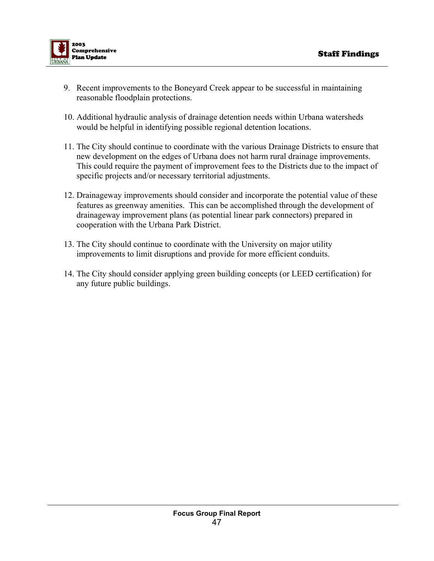

- 9. Recent improvements to the Boneyard Creek appear to be successful in maintaining reasonable floodplain protections.
- 10. Additional hydraulic analysis of drainage detention needs within Urbana watersheds would be helpful in identifying possible regional detention locations.
- 11. The City should continue to coordinate with the various Drainage Districts to ensure that new development on the edges of Urbana does not harm rural drainage improvements. This could require the payment of improvement fees to the Districts due to the impact of specific projects and/or necessary territorial adjustments.
- 12. Drainageway improvements should consider and incorporate the potential value of these features as greenway amenities. This can be accomplished through the development of drainageway improvement plans (as potential linear park connectors) prepared in cooperation with the Urbana Park District.
- 13. The City should continue to coordinate with the University on major utility improvements to limit disruptions and provide for more efficient conduits.
- 14. The City should consider applying green building concepts (or LEED certification) for any future public buildings.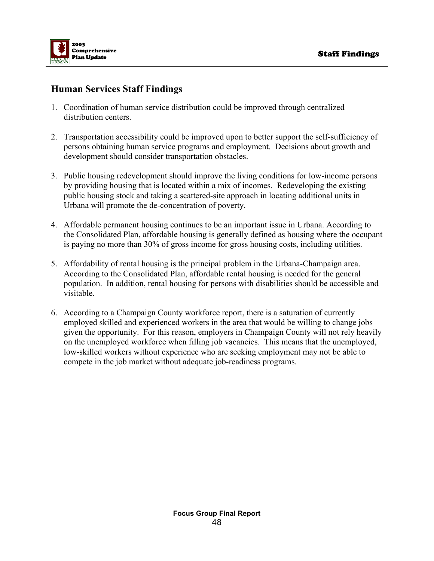

# **Human Services Staff Findings**

- 1. Coordination of human service distribution could be improved through centralized distribution centers.
- 2. Transportation accessibility could be improved upon to better support the self-sufficiency of persons obtaining human service programs and employment. Decisions about growth and development should consider transportation obstacles.
- 3. Public housing redevelopment should improve the living conditions for low-income persons by providing housing that is located within a mix of incomes. Redeveloping the existing public housing stock and taking a scattered-site approach in locating additional units in Urbana will promote the de-concentration of poverty.
- 4. Affordable permanent housing continues to be an important issue in Urbana. According to the Consolidated Plan, affordable housing is generally defined as housing where the occupant is paying no more than 30% of gross income for gross housing costs, including utilities.
- 5. Affordability of rental housing is the principal problem in the Urbana-Champaign area. According to the Consolidated Plan, affordable rental housing is needed for the general population. In addition, rental housing for persons with disabilities should be accessible and visitable.
- 6. According to a Champaign County workforce report, there is a saturation of currently employed skilled and experienced workers in the area that would be willing to change jobs given the opportunity. For this reason, employers in Champaign County will not rely heavily on the unemployed workforce when filling job vacancies. This means that the unemployed, low-skilled workers without experience who are seeking employment may not be able to compete in the job market without adequate job-readiness programs.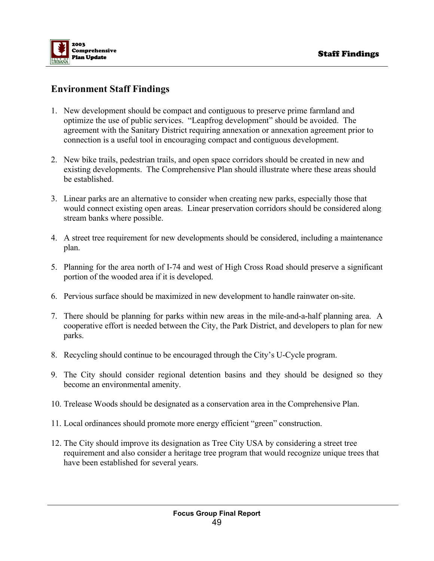

# **Environment Staff Findings**

- 1. New development should be compact and contiguous to preserve prime farmland and optimize the use of public services. "Leapfrog development" should be avoided. The agreement with the Sanitary District requiring annexation or annexation agreement prior to connection is a useful tool in encouraging compact and contiguous development.
- 2. New bike trails, pedestrian trails, and open space corridors should be created in new and existing developments. The Comprehensive Plan should illustrate where these areas should be established.
- 3. Linear parks are an alternative to consider when creating new parks, especially those that would connect existing open areas. Linear preservation corridors should be considered along stream banks where possible.
- 4. A street tree requirement for new developments should be considered, including a maintenance plan.
- 5. Planning for the area north of I-74 and west of High Cross Road should preserve a significant portion of the wooded area if it is developed.
- 6. Pervious surface should be maximized in new development to handle rainwater on-site.
- 7. There should be planning for parks within new areas in the mile-and-a-half planning area. A cooperative effort is needed between the City, the Park District, and developers to plan for new parks.
- 8. Recycling should continue to be encouraged through the City's U-Cycle program.
- 9. The City should consider regional detention basins and they should be designed so they become an environmental amenity.
- 10. Trelease Woods should be designated as a conservation area in the Comprehensive Plan.
- 11. Local ordinances should promote more energy efficient "green" construction.
- 12. The City should improve its designation as Tree City USA by considering a street tree requirement and also consider a heritage tree program that would recognize unique trees that have been established for several years.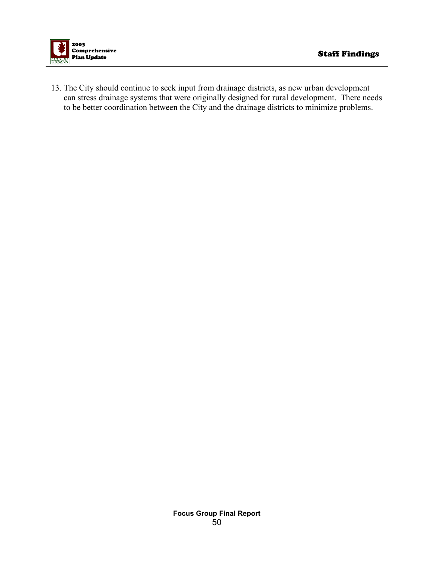

13. The City should continue to seek input from drainage districts, as new urban development can stress drainage systems that were originally designed for rural development. There needs to be better coordination between the City and the drainage districts to minimize problems.